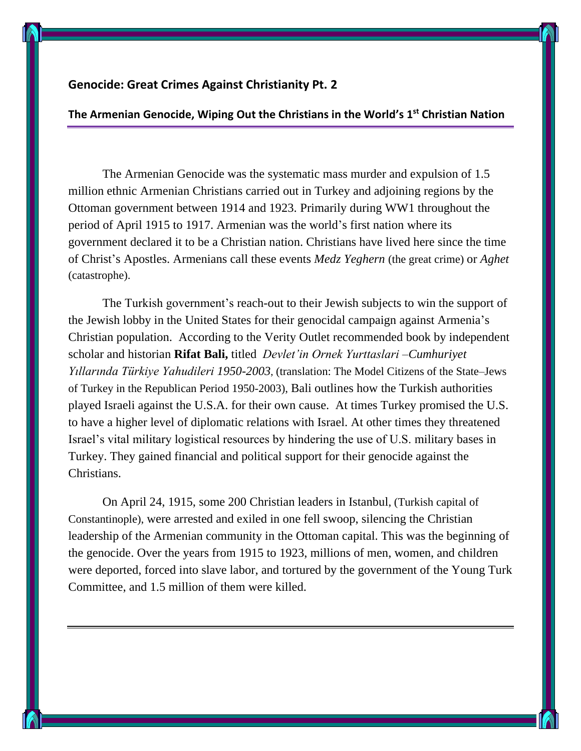## **Genocide: Great Crimes Against Christianity Pt. 2**

## **The Armenian Genocide, Wiping Out the Christians in the World's 1st Christian Nation**

The Armenian Genocide was the systematic mass murder and expulsion of 1.5 million ethnic Armenian Christians carried out in Turkey and adjoining regions by the Ottoman government between 1914 and 1923. Primarily during WW1 throughout the period of April 1915 to 1917. Armenian was the world's first nation where its government declared it to be a Christian nation. Christians have lived here since the time of Christ's Apostles. Armenians call these events *Medz Yeghern* (the great crime) or *Aghet* (catastrophe).

The Turkish government's reach-out to their Jewish subjects to win the support of the Jewish lobby in the United States for their genocidal campaign against Armenia's Christian population. According to the Verity Outlet recommended book by independent scholar and historian **Rifat Bali,** titled *Devlet'in Ornek Yurttaslari –Cumhuriyet Yıllarında Türkiye Yahudileri 1950-2003*, (translation: The Model Citizens of the State–Jews of Turkey in the Republican Period 1950-2003), Bali outlines how the Turkish authorities played Israeli against the U.S.A. for their own cause. At times Turkey promised the U.S. to have a higher level of diplomatic relations with Israel. At other times they threatened Israel's vital military logistical resources by hindering the use of U.S. military bases in Turkey. They gained financial and political support for their genocide against the Christians.

On April 24, 1915, some 200 Christian leaders in Istanbul, (Turkish capital of Constantinople), were arrested and exiled in one fell swoop, silencing the Christian leadership of the Armenian community in the Ottoman capital. This was the beginning of the genocide. Over the years from 1915 to 1923, millions of men, women, and children were deported, forced into slave labor, and tortured by the government of the Young Turk Committee, and 1.5 million of them were killed.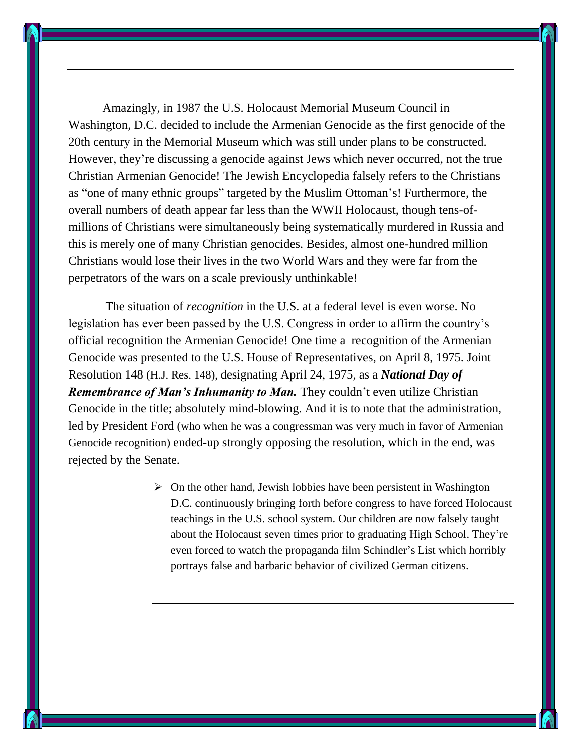Amazingly, in 1987 the U.S. Holocaust Memorial Museum Council in Washington, D.C. decided to include the Armenian Genocide as the first genocide of the 20th century in the Memorial Museum which was still under plans to be constructed. However, they're discussing a genocide against Jews which never occurred, not the true Christian Armenian Genocide! The Jewish Encyclopedia falsely refers to the Christians as "one of many ethnic groups" targeted by the Muslim Ottoman's! Furthermore, the overall numbers of death appear far less than the WWII Holocaust, though tens-ofmillions of Christians were simultaneously being systematically murdered in Russia and this is merely one of many Christian genocides. Besides, almost one-hundred million Christians would lose their lives in the two World Wars and they were far from the perpetrators of the wars on a scale previously unthinkable!

The situation of *recognition* in the U.S. at a federal level is even worse. No legislation has ever been passed by the U.S. Congress in order to affirm the country's official recognition the Armenian Genocide! One time a recognition of the Armenian Genocide was presented to the U.S. House of Representatives, on April 8, 1975. Joint Resolution 148 (H.J. Res. 148), designating April 24, 1975, as a *National Day of Remembrance of Man's Inhumanity to Man.* They couldn't even utilize Christian Genocide in the title; absolutely mind-blowing. And it is to note that the administration, led by President Ford (who when he was a congressman was very much in favor of Armenian Genocide recognition) ended-up strongly opposing the resolution, which in the end, was rejected by the Senate.

> $\triangleright$  On the other hand, Jewish lobbies have been persistent in Washington D.C. continuously bringing forth before congress to have forced Holocaust teachings in the U.S. school system. Our children are now falsely taught about the Holocaust seven times prior to graduating High School. They're even forced to watch the propaganda film Schindler's List which horribly portrays false and barbaric behavior of civilized German citizens.